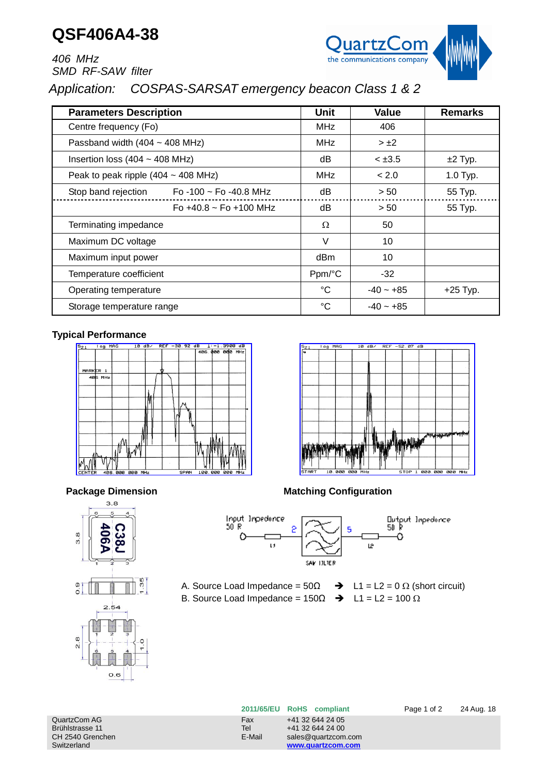## **QSF406A4-38**



*406 MHz SMD RF-SAW filter*

## *Application: COSPAS-SARSAT emergency beacon Class 1 & 2*

| <b>Parameters Description</b>                    | Unit              | Value       | <b>Remarks</b> |
|--------------------------------------------------|-------------------|-------------|----------------|
| Centre frequency (Fo)                            | <b>MHz</b>        | 406         |                |
| Passband width $(404 \sim 408 \text{ MHz})$      | MHz               | $> \pm 2$   |                |
| Insertion loss $(404 \sim 408 \text{ MHz})$      | dΒ<br>$< \pm 3.5$ |             | $±2$ Typ.      |
| Peak to peak ripple $(404 \sim 408 \text{ MHz})$ | MHz               | < 2.0       | 1.0 Typ.       |
| Stop band rejection<br>Fo -100 ~ Fo -40.8 MHz    | dB                | > 50        | 55 Typ.        |
| Fo $+40.8 \sim$ Fo $+100$ MHz                    | dB                | > 50        | 55 Typ.        |
| Terminating impedance                            | Ω                 | 50          |                |
| Maximum DC voltage                               | $\vee$            | 10          |                |
| Maximum input power                              | dBm               | 10          |                |
| Temperature coefficient                          | Ppm/°C            | $-32$       |                |
| Operating temperature                            | °C                | $-40 - +85$ | $+25$ Typ.     |
| Storage temperature range                        | °C                | $-40 - +85$ |                |

## **Typical Performance**









**ø** 

**Package Dimension Matching Configuration** 

l og

 $10$ 



A. Source Load Impedance =  $50\Omega$   $\rightarrow$  L1 = L2 = 0  $\Omega$  (short circuit) B. Source Load Impedance =  $150\Omega$   $\rightarrow$  L1 = L2 =  $100\Omega$ 

| QuartzCom AG     | Fax    | +41 32 644 24 05 |
|------------------|--------|------------------|
| Brühlstrasse 11  | Tel    | +41 32 644 24 00 |
| CH 2540 Grenchen | E-Mail | sales@quartzcom  |
| Switzerland      |        | www.quartzcom.   |

sales@quartzcom.com www.quartzcom.com

**2011/65/EU RoHS compliant** Page 1 of 2 24 Aug. 18